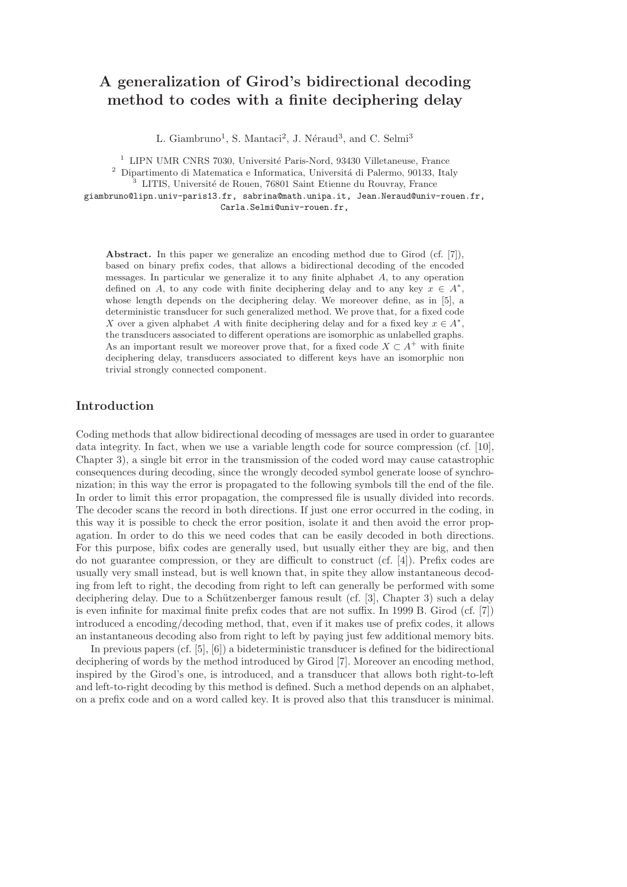# A generalization of Girod's bidirectional decoding method to codes with a finite deciphering delay

L. Giambruno<sup>1</sup>, S. Mantaci<sup>2</sup>, J. Néraud<sup>3</sup>, and C. Selmi<sup>3</sup>

 $1$  LIPN UMR CNRS 7030, Université Paris-Nord, 93430 Villetaneuse, France  $^2$  Dipartimento di Matematica e Informatica, Universitá di Palermo, 90133, Italy

<sup>3</sup> LITIS, Université de Rouen, 76801 Saint Etienne du Rouvray, France

giambruno@lipn.univ-paris13.fr, sabrina@math.unipa.it, Jean.Neraud@univ-rouen.fr, Carla.Selmi@univ-rouen.fr,

Abstract. In this paper we generalize an encoding method due to Girod (cf. [7]), based on binary prefix codes, that allows a bidirectional decoding of the encoded messages. In particular we generalize it to any finite alphabet A, to any operation defined on A, to any code with finite deciphering delay and to any key  $x \in A^*$ , whose length depends on the deciphering delay. We moreover define, as in [5], a deterministic transducer for such generalized method. We prove that, for a fixed code X over a given alphabet A with finite deciphering delay and for a fixed key  $x \in A^*$ , the transducers associated to different operations are isomorphic as unlabelled graphs. As an important result we moreover prove that, for a fixed code  $X \subset A^+$  with finite deciphering delay, transducers associated to different keys have an isomorphic non trivial strongly connected component.

# Introduction

Coding methods that allow bidirectional decoding of messages are used in order to guarantee data integrity. In fact, when we use a variable length code for source compression (cf. [10], Chapter 3), a single bit error in the transmission of the coded word may cause catastrophic consequences during decoding, since the wrongly decoded symbol generate loose of synchronization; in this way the error is propagated to the following symbols till the end of the file. In order to limit this error propagation, the compressed file is usually divided into records. The decoder scans the record in both directions. If just one error occurred in the coding, in this way it is possible to check the error position, isolate it and then avoid the error propagation. In order to do this we need codes that can be easily decoded in both directions. For this purpose, bifix codes are generally used, but usually either they are big, and then do not guarantee compression, or they are difficult to construct (cf. [4]). Prefix codes are usually very small instead, but is well known that, in spite they allow instantaneous decoding from left to right, the decoding from right to left can generally be performed with some deciphering delay. Due to a Schützenberger famous result (cf. [3], Chapter 3) such a delay is even infinite for maximal finite prefix codes that are not suffix. In 1999 B. Girod (cf. [7]) introduced a encoding/decoding method, that, even if it makes use of prefix codes, it allows an instantaneous decoding also from right to left by paying just few additional memory bits.

In previous papers (cf. [5], [6]) a bideterministic transducer is defined for the bidirectional deciphering of words by the method introduced by Girod [7]. Moreover an encoding method, inspired by the Girod's one, is introduced, and a transducer that allows both right-to-left and left-to-right decoding by this method is defined. Such a method depends on an alphabet, on a prefix code and on a word called key. It is proved also that this transducer is minimal.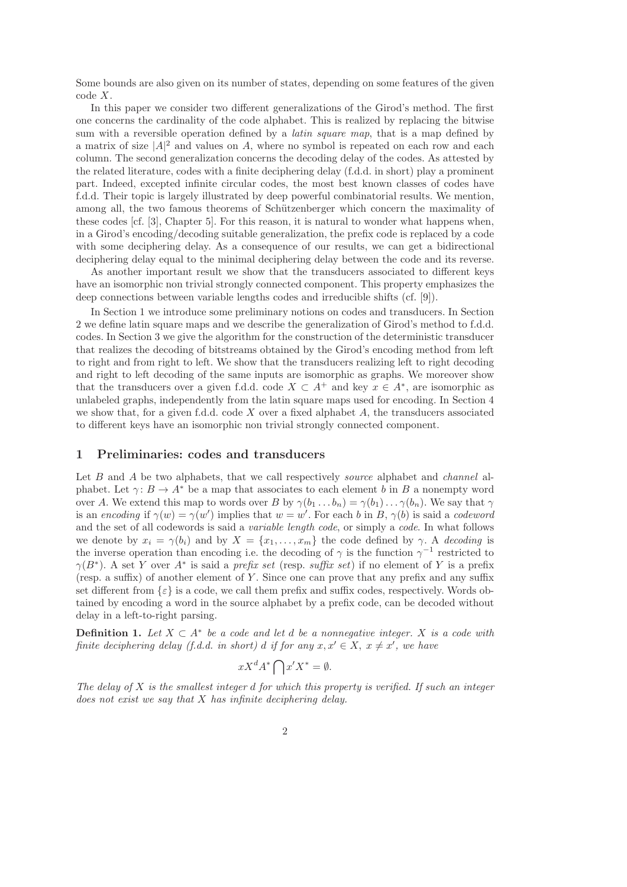Some bounds are also given on its number of states, depending on some features of the given code X.

In this paper we consider two different generalizations of the Girod's method. The first one concerns the cardinality of the code alphabet. This is realized by replacing the bitwise sum with a reversible operation defined by a *latin square map*, that is a map defined by a matrix of size  $|A|^2$  and values on A, where no symbol is repeated on each row and each column. The second generalization concerns the decoding delay of the codes. As attested by the related literature, codes with a finite deciphering delay (f.d.d. in short) play a prominent part. Indeed, excepted infinite circular codes, the most best known classes of codes have f.d.d. Their topic is largely illustrated by deep powerful combinatorial results. We mention, among all, the two famous theorems of Schützenberger which concern the maximality of these codes [cf. [3], Chapter 5]. For this reason, it is natural to wonder what happens when, in a Girod's encoding/decoding suitable generalization, the prefix code is replaced by a code with some deciphering delay. As a consequence of our results, we can get a bidirectional deciphering delay equal to the minimal deciphering delay between the code and its reverse.

As another important result we show that the transducers associated to different keys have an isomorphic non trivial strongly connected component. This property emphasizes the deep connections between variable lengths codes and irreducible shifts (cf. [9]).

In Section 1 we introduce some preliminary notions on codes and transducers. In Section 2 we define latin square maps and we describe the generalization of Girod's method to f.d.d. codes. In Section 3 we give the algorithm for the construction of the deterministic transducer that realizes the decoding of bitstreams obtained by the Girod's encoding method from left to right and from right to left. We show that the transducers realizing left to right decoding and right to left decoding of the same inputs are isomorphic as graphs. We moreover show that the transducers over a given f.d.d. code  $X \subset A^+$  and key  $x \in A^*$ , are isomorphic as unlabeled graphs, independently from the latin square maps used for encoding. In Section 4 we show that, for a given f.d.d. code  $X$  over a fixed alphabet  $A$ , the transducers associated to different keys have an isomorphic non trivial strongly connected component.

#### 1 Preliminaries: codes and transducers

Let  $B$  and  $A$  be two alphabets, that we call respectively *source* alphabet and *channel* alphabet. Let  $\gamma: B \to A^*$  be a map that associates to each element b in B a nonempty word over A. We extend this map to words over B by  $\gamma(b_1 \ldots b_n) = \gamma(b_1) \ldots \gamma(b_n)$ . We say that  $\gamma$ is an encoding if  $\gamma(w) = \gamma(w')$  implies that  $w = w'$ . For each b in B,  $\gamma(b)$  is said a codeword and the set of all codewords is said a *variable length code*, or simply a *code*. In what follows we denote by  $x_i = \gamma(b_i)$  and by  $X = \{x_1, \ldots, x_m\}$  the code defined by  $\gamma$ . A decoding is the inverse operation than encoding i.e. the decoding of  $\gamma$  is the function  $\gamma^{-1}$  restricted to  $\gamma(B^*)$ . A set Y over  $A^*$  is said a *prefix set* (resp. *suffix set*) if no element of Y is a prefix (resp. a suffix) of another element of Y . Since one can prove that any prefix and any suffix set different from  $\{\varepsilon\}$  is a code, we call them prefix and suffix codes, respectively. Words obtained by encoding a word in the source alphabet by a prefix code, can be decoded without delay in a left-to-right parsing.

**Definition 1.** Let  $X \subset A^*$  be a code and let d be a nonnegative integer. X is a code with finite deciphering delay (f.d.d. in short) d if for any  $x, x' \in X$ ,  $x \neq x'$ , we have

$$
xX^dA^* \bigcap x'X^* = \emptyset.
$$

The delay of  $X$  is the smallest integer d for which this property is verified. If such an integer does not exist we say that X has infinite deciphering delay.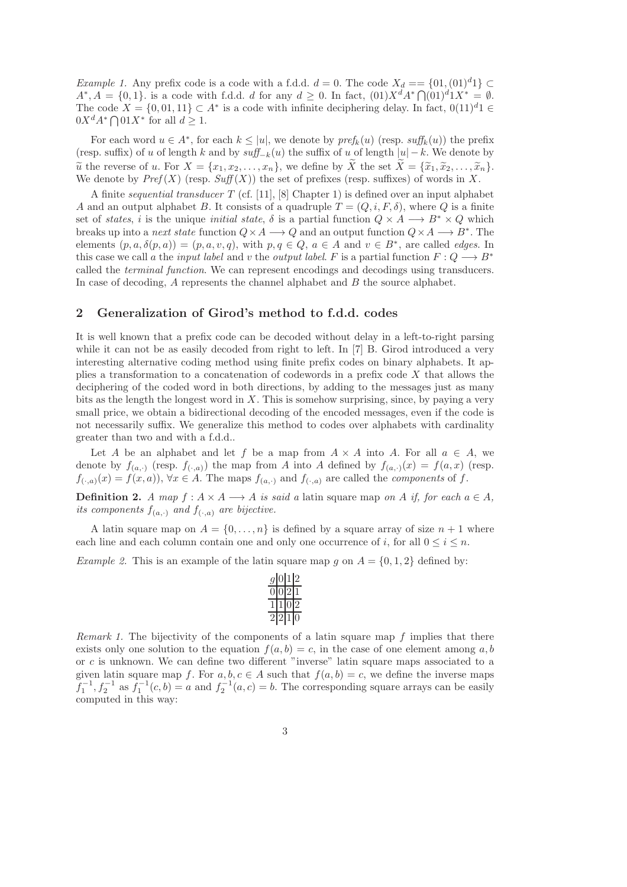Example 1. Any prefix code is a code with a f.d.d.  $d = 0$ . The code  $X_d = \{01, (01)^d1\} \subset$  $A^*, A = \{0, 1\}$  is a code with f.d.d. d for any  $d \geq 0$ . In fact,  $(01)X^dA^* \bigcap (01)^dX^* = \emptyset$ . The code  $X = \{0, 01, 11\} \subset A^*$  is a code with infinite deciphering delay. In fact,  $0(11)^d1 \in$  $0X^dA^*\bigcap 01X^*$  for all  $d\geq 1$ .

For each word  $u \in A^*$ , for each  $k \leq |u|$ , we denote by  $\text{pref}_k(u)$  (resp.  $\text{suffix}(u)$ ) the prefix (resp. suffix) of u of length k and by  $\text{suffix of } u$  of length  $|u| - k$ . We denote by  $\widetilde{u}$  the reverse of u. For  $X = \{x_1, x_2, \ldots, x_n\}$ , we define by  $\widetilde{X}$  the set  $\widetilde{X} = \{\widetilde{x}_1, \widetilde{x}_2, \ldots, \widetilde{x}_n\}$ . We denote by  $Pref(X)$  (resp.  $Suff(X)$ ) the set of prefixes (resp. suffixes) of words in X.

A finite sequential transducer  $T$  (cf. [11], [8] Chapter 1) is defined over an input alphabet A and an output alphabet B. It consists of a quadruple  $T = (Q, i, F, \delta)$ , where Q is a finite set of states, i is the unique *initial state*,  $\delta$  is a partial function  $Q \times A \longrightarrow B^* \times Q$  which breaks up into a *next state* function  $Q \times A \longrightarrow Q$  and an output function  $Q \times A \longrightarrow B^*$ . The elements  $(p, a, \delta(p, a)) = (p, a, v, q)$ , with  $p, q \in Q$ ,  $a \in A$  and  $v \in B^*$ , are called *edges*. In this case we call a the *input label* and v the *output label.* F is a partial function  $F: Q \longrightarrow B^*$ called the terminal function. We can represent encodings and decodings using transducers. In case of decoding,  $A$  represents the channel alphabet and  $B$  the source alphabet.

## 2 Generalization of Girod's method to f.d.d. codes

It is well known that a prefix code can be decoded without delay in a left-to-right parsing while it can not be as easily decoded from right to left. In [7] B. Girod introduced a very interesting alternative coding method using finite prefix codes on binary alphabets. It applies a transformation to a concatenation of codewords in a prefix code X that allows the deciphering of the coded word in both directions, by adding to the messages just as many bits as the length the longest word in  $X$ . This is somehow surprising, since, by paying a very small price, we obtain a bidirectional decoding of the encoded messages, even if the code is not necessarily suffix. We generalize this method to codes over alphabets with cardinality greater than two and with a f.d.d..

Let A be an alphabet and let f be a map from  $A \times A$  into A. For all  $a \in A$ , we denote by  $f_{(a,\cdot)}$  (resp.  $f_{(\cdot,a)}$ ) the map from A into A defined by  $f_{(a,\cdot)}(x) = f(a,x)$  (resp.  $f_{(\cdot,a)}(x) = f(x,a)$ ,  $\forall x \in A$ . The maps  $f_{(a,\cdot)}$  and  $f_{(\cdot,a)}$  are called the *components* of f.

**Definition 2.** A map  $f : A \times A \longrightarrow A$  is said a latin square map on A if, for each  $a \in A$ , its components  $f_{(a,\cdot)}$  and  $f_{(\cdot,a)}$  are bijective.

A latin square map on  $A = \{0, \ldots, n\}$  is defined by a square array of size  $n + 1$  where each line and each column contain one and only one occurrence of i, for all  $0 \le i \le n$ .

*Example 2.* This is an example of the latin square map g on  $A = \{0, 1, 2\}$  defined by:

|  | ٠, |
|--|----|
|  |    |
|  |    |
|  |    |

*Remark 1.* The bijectivity of the components of a latin square map  $f$  implies that there exists only one solution to the equation  $f(a, b) = c$ , in the case of one element among a, b or c is unknown. We can define two different "inverse" latin square maps associated to a given latin square map f. For  $a, b, c \in A$  such that  $f(a, b) = c$ , we define the inverse maps  $f_1^{-1}, f_2^{-1}$  as  $f_1^{-1}(c, b) = a$  and  $f_2^{-1}(a, c) = b$ . The corresponding square arrays can be easily computed in this way: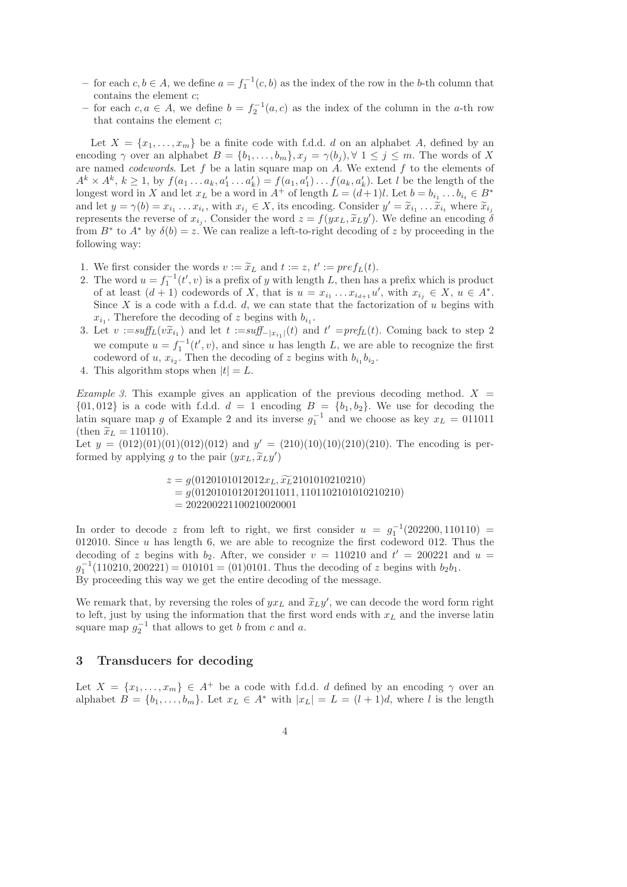- − for each  $c, b \in A$ , we define  $a = f_1^{-1}(c, b)$  as the index of the row in the b-th column that contains the element c;
- − for each  $c, a \in A$ , we define  $b = f_2^{-1}(a, c)$  as the index of the column in the a-th row that contains the element  $c$ ;

Let  $X = \{x_1, \ldots, x_m\}$  be a finite code with f.d.d. d on an alphabet A, defined by an encoding  $\gamma$  over an alphabet  $B = \{b_1, \ldots, b_m\}, x_j = \gamma(b_j), \forall 1 \leq j \leq m$ . The words of X are named *codewords*. Let f be a latin square map on A. We extend f to the elements of  $A^k \times A^k$ ,  $k \geq 1$ , by  $f(a_1 \ldots a_k, a'_1 \ldots a'_k) = f(a_1, a'_1) \ldots f(a_k, a'_k)$ . Let l be the length of the longest word in X and let  $x_L$  be a word in  $A^+$  of length  $L = (d+1)l$ . Let  $b = b_{i_1} \ldots b_{i_t} \in B^*$ and let  $y = \gamma(b) = x_{i_1} \dots x_{i_t}$ , with  $x_{i_j} \in X$ , its encoding. Consider  $y' = \tilde{x}_{i_1} \dots \tilde{x}_{i_t}$  where  $\tilde{x}_{i_j}$ represents the reverse of  $x_{i_j}$ . Consider the word  $z = f(yx_L, \tilde{x}_L y')$ . We define an encoding  $\delta$ from  $B^*$  to  $A^*$  by  $\delta(b) = z$ . We can realize a left-to-right decoding of z by proceeding in the following way:

- 1. We first consider the words  $v := \tilde{x}_L$  and  $t := z, t' := pref_L(t)$ .
- 2. The word  $u = f_1^{-1}(t', v)$  is a prefix of y with length L, then has a prefix which is product of at least  $(d+1)$  codewords of X, that is  $u = x_{i_1} \ldots x_{i_{d+1}} u'$ , with  $x_{i_j} \in X$ ,  $u \in A^*$ . Since X is a code with a f.d.d.  $d$ , we can state that the factorization of u begins with  $x_{i_1}$ . Therefore the decoding of z begins with  $b_{i_1}$ .
- 3. Let  $v := \text{suffix}(v\tilde{x}_{i_1})$  and let  $t := \text{suffix}_-|x_{i_1}|(t)$  and  $t' = \text{pref}_L(t)$ . Coming back to step 2 we compute  $u = f_1^{-1}(t', v)$ , and since u has length L, we are able to recognize the first codeword of u,  $x_{i_2}$ . Then the decoding of z begins with  $b_{i_1}b_{i_2}$ .
- 4. This algorithm stops when  $|t| = L$ .

Example 3. This example gives an application of the previous decoding method.  $X =$  $\{01,012\}$  is a code with f.d.d.  $d = 1$  encoding  $B = \{b_1, b_2\}$ . We use for decoding the latin square map g of Example 2 and its inverse  $g_1^{-1}$  and we choose as key  $x_L = 011011$ (then  $\tilde{x}_L = 110110$ ).

Let  $y = (012)(01)(01)(012)(012)$  and  $y' = (210)(10)(10)(210)(210)$ . The encoding is performed by applying g to the pair  $(yx_L, \tilde{x}_L y')$ 

> $z = g(0120101012012x_L, \widetilde{x_L}2101010210210)$  $= q(0120101012012011011, 1101102101010210210)$  $= 202200221100210020001$

In order to decode z from left to right, we first consider  $u = g_1^{-1}(202200, 110110)$  = 012010. Since  $u$  has length 6, we are able to recognize the first codeword 012. Thus the decoding of z begins with  $b_2$ . After, we consider  $v = 110210$  and  $t' = 200221$  and  $u =$  $g_1^{-1}(110210, 200221) = 010101 = (01)0101$ . Thus the decoding of z begins with  $b_2b_1$ . By proceeding this way we get the entire decoding of the message.

We remark that, by reversing the roles of  $yx_L$  and  $\tilde{x}_L y'$ , we can decode the word form right to left, just by using the information that the first word ends with  $x_L$  and the inverse latin square map  $g_2^{-1}$  that allows to get b from c and a.

# 3 Transducers for decoding

Let  $X = \{x_1, \ldots, x_m\} \in A^+$  be a code with f.d.d. d defined by an encoding  $\gamma$  over an alphabet  $B = \{b_1, \ldots, b_m\}$ . Let  $x_L \in A^*$  with  $|x_L| = L = (l + 1)d$ , where l is the length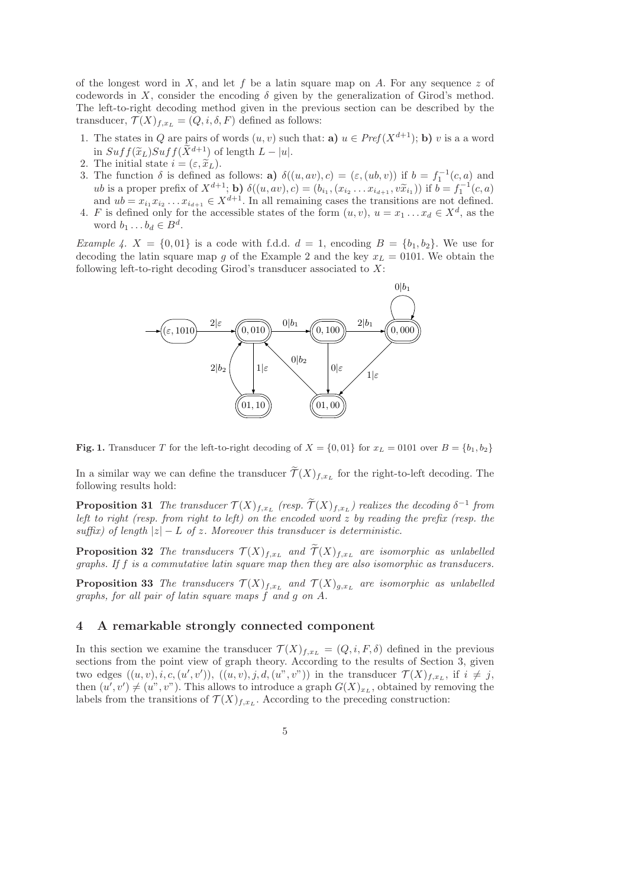of the longest word in X, and let f be a latin square map on A. For any sequence z of codewords in X, consider the encoding  $\delta$  given by the generalization of Girod's method. The left-to-right decoding method given in the previous section can be described by the transducer,  $\mathcal{T}(X)_{f,x_L} = (Q, i, \delta, F)$  defined as follows:

- 1. The states in Q are pairs of words  $(u, v)$  such that: **a**)  $u \in Pref(X^{d+1})$ ; **b**) v is a a word in  $Suff(\widetilde{x}_L)Suff(\widetilde{X}^{d+1})$  of length  $L - |u|$ .
- 2. The initial state  $i = (\varepsilon, \tilde{x}_L)$ .
- 3. The function  $\delta$  is defined as follows: **a**)  $\delta((u, av), c) = (\varepsilon, (ub, v))$  if  $b = f_1^{-1}(c, a)$  and ub is a proper prefix of  $X^{d+1}$ ; **b**)  $\delta((u, av), c) = (b_{i_1}, (x_{i_2} \ldots x_{i_{d+1}}, v\tilde{x}_{i_1}))$  if  $b = f_1^{-1}(c, a)$ and  $ub = x_{i_1} x_{i_2} \dots x_{i_{d+1}} \in X^{d+1}$ . In all remaining cases the transitions are not defined.
- 4. F is defined only for the accessible states of the form  $(u, v)$ ,  $u = x_1 \dots x_d \in X^d$ , as the word  $b_1 \ldots b_d \in B^d$ .

*Example 4.*  $X = \{0,01\}$  is a code with f.d.d.  $d = 1$ , encoding  $B = \{b_1, b_2\}$ . We use for decoding the latin square map g of the Example 2 and the key  $x_L = 0101$ . We obtain the following left-to-right decoding Girod's transducer associated to  $X$ :



Fig. 1. Transducer T for the left-to-right decoding of  $X = \{0, 01\}$  for  $x_L = 0101$  over  $B = \{b_1, b_2\}$ 

In a similar way we can define the transducer  $\mathcal{T}(X)_{f,x_L}$  for the right-to-left decoding. The following results hold:

**Proposition 31** The transducer  $\mathcal{T}(X)_{f,x_L}$  (resp.  $\mathcal{T}(X)_{f,x_L}$ ) realizes the decoding  $\delta^{-1}$  from left to right (resp. from right to left) on the encoded word  $z$  by reading the prefix (resp. the suffix) of length  $|z| - L$  of z. Moreover this transducer is deterministic.

**Proposition 32** The transducers  $\mathcal{T}(X)_{f,x_L}$  and  $\widetilde{\mathcal{T}}(X)_{f,x_L}$  are isomorphic as unlabelled graphs. If f is a commutative latin square map then they are also isomorphic as transducers.

**Proposition 33** The transducers  $\mathcal{T}(X)_{f,x_L}$  and  $\mathcal{T}(X)_{g,x_L}$  are isomorphic as unlabelled graphs, for all pair of latin square maps f and g on A.

### 4 A remarkable strongly connected component

In this section we examine the transducer  $\mathcal{T}(X)_{f,x_L} = (Q, i, F, \delta)$  defined in the previous sections from the point view of graph theory. According to the results of Section 3, given two edges  $((u, v), i, c, (u', v')), ((u, v), j, d, (u", v"))$  in the transducer  $\mathcal{T}(X)_{f,x_L}$ , if  $i \neq j$ , then  $(u', v') \neq (u'', v'')$ . This allows to introduce a graph  $G(X)_{x_L}$ , obtained by removing the labels from the transitions of  $\mathcal{T}(X)_{f,x_L}$ . According to the preceding construction: